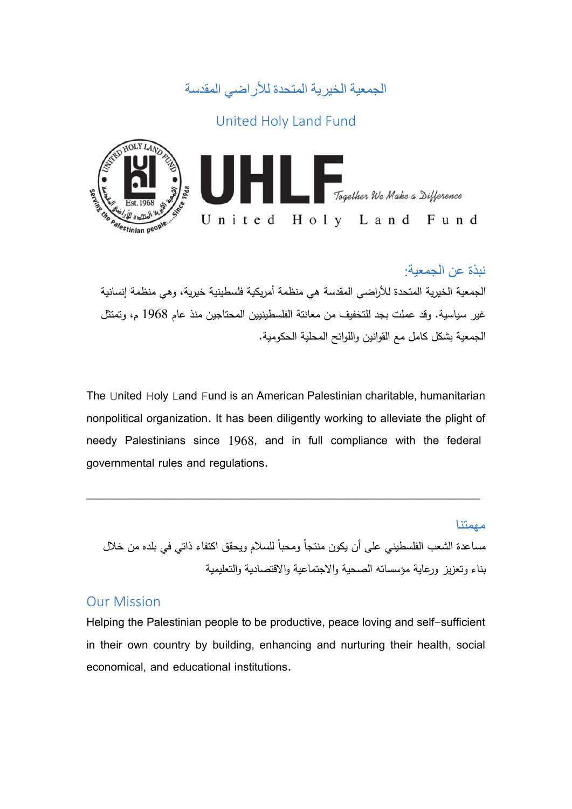

# United Holy Land Fund



## نبذة عن الجمعية:

الجمعية الخيرية المتحدة للأراضي المقدسة هي منظمة أمريكية فلسطينية خيرية، وهي منظمة إنسانية غير سياسية. وقد عملت بجد للتخفيف من معانتة الفلسطينيين المحتاجين منذ عام 1968 م، وتمتثل الجمعية بشكل كامل مع القوانين واللوائح المحلية الحكومية.

The United Holy Land Fund is an American Palestinian charitable, humanitarian nonpolitical organization. It has been diligently working to alleviate the plight of needy Palestinians since 1968, and in full compliance with the federal governmental rules and regulations.

\_\_\_\_\_\_\_\_\_\_\_\_\_\_\_\_\_\_\_\_\_\_\_\_\_\_\_\_\_\_\_\_\_\_\_\_\_\_\_\_\_\_\_\_\_\_\_\_\_\_\_\_\_\_\_\_\_\_\_\_\_\_\_

مهمتنا مساعدة الشعب الفلسطيني على أن يكون منتجا ومحبا للسلام ويحقق اكتفاء ذاتي في بلده من خلال بناء وتعزيز ورعاية مؤسساته الصحية والاجتماعية والاقتصادية والتعليمية

### Our Mission

Helping the Palestinian people to be productive, peace loving and self-sufficient in their own country by building, enhancing and nurturing their health, social economical, and educational institutions.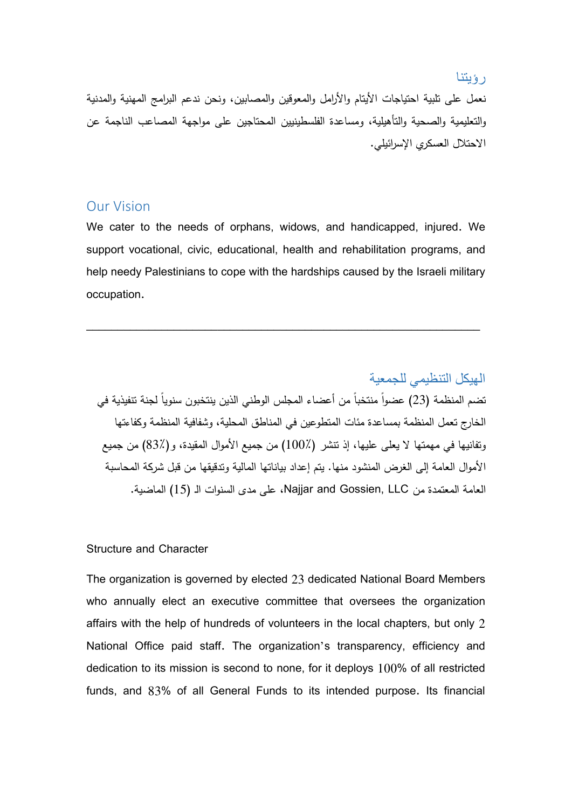#### رؤيتنا

نعمل على تلبية احتياجات الأيتام والأرامل والمعوقين والمصابين، ونحن ندعم البرامج المهنية والمدنية والتعليمية والصحية والتأهيلية، ومساعدة الفلسطينيين المحتاجين على مواجهة المصاعب الناجمة عن الاحتلال العسكري الإسرائيلي.

### Our Vision

We cater to the needs of orphans, widows, and handicapped, injured. We support vocational, civic, educational, health and rehabilitation programs, and help needy Palestinians to cope with the hardships caused by the Israeli military occupation.

\_\_\_\_\_\_\_\_\_\_\_\_\_\_\_\_\_\_\_\_\_\_\_\_\_\_\_\_\_\_\_\_\_\_\_\_\_\_\_\_\_\_\_\_\_\_\_\_\_\_\_\_\_\_\_\_\_\_\_\_\_\_\_

الهيكل التنظيمي للجمعية تضم المنظمة (23) عضوا منتخبا من أعضاء المجلس الوطني الذين ينتخبون سنويا لجنة تتفيذية في الخارج تعمل المنظمة بمساعدة مئات المتطوعين في المناطق المحلية، وشفافية المنظمة وكفاءتها وتفانيها في مهمتها لا يعلى عليها، إذ تنشر (100٪) من جميع الأموال المقيدة، و(83٪) من جميع الأموال العامة إلى الغرض المنشود منها. يتم إعداد بياناتها المالية وتدقيقها من قبل شركة المحاسبة العامة المعتمدة من LLC ,Gossien and Najjar، على مدى السنوات الـ (15) الماضية.

#### Structure and Character

The organization is governed by elected 23 dedicated National Board Members who annually elect an executive committee that oversees the organization affairs with the help of hundreds of volunteers in the local chapters, but only 2 National Office paid staff. The organization's transparency, efficiency and dedication to its mission is second to none, for it deploys 100% of all restricted funds, and 83% of all General Funds to its intended purpose. Its financial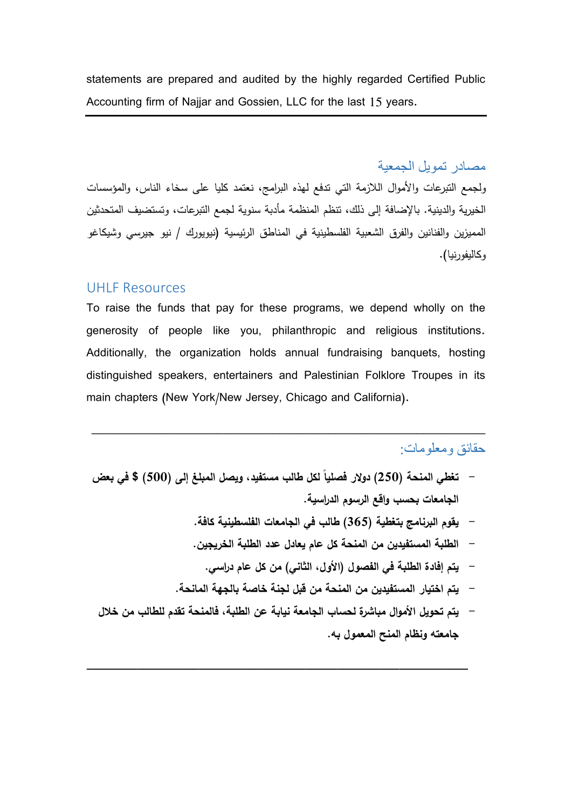statements are prepared and audited by the highly regarded Certified Public Accounting firm of Najjar and Gossien, LLC for the last 15 years.

مصادر تمويل الجمعية

ولجمع التبرعات والأموال اللازمة التي تدفع لهذه البرامج، نعتمد كليا على سخاء الناس، والمؤسسات الخيرية والدينية. بالإضافة إلى ذلك، تنظم المنظمة مأدبة سنوية لجمع التبرعات، وتستضيف المتحدثين المميزين والفنانين والفرق الشعبية الفلسطينية في المناطق الرئيسية (نيويورك / نيو جيرسي وشيكاغو وكاليفورنيا).

#### UHLF Resources

To raise the funds that pay for these programs, we depend wholly on the generosity of people like you, philanthropic and religious institutions. Additionally, the organization holds annual fundraising banquets, hosting distinguished speakers, entertainers and Palestinian Folklore Troupes in its main chapters (New York/New Jersey, Chicago and California).

\_\_\_\_\_\_\_\_\_\_\_\_\_\_\_\_\_\_\_\_\_\_\_\_\_\_\_\_\_\_\_\_\_\_\_\_\_\_\_\_\_\_\_\_\_\_\_\_\_\_\_\_\_\_\_\_\_\_\_\_\_\_\_

### حقائق ومعلومات:

- **ً لكل طالب مستفيد، ويصل المبلغ إلى (500) \$ في بعض - تغطي المنحة (250) دولار فصليا الجامعات بحسب واقع الرسوم الدراسية.**
	- **- يقوم البرنامج بتغطية (365) طالب في الجامعات الفلسطينية كافة.**
	- **- الطلبة المستفيدين من المنحة كل عام يعادل عدد الطلبة الخريجين.**
		- **- يتم إفادة الطلبة في الفصول (الأول، الثاني) من كل عام دراسي.**
	- **- يتم اختيار المستفيدين من المنحة من قبل لجنة خاصة بالجهة المانحة.**
- **- يتم تحويل الأموال مباشرة لحساب الجامعة نيابة عن الطلبة، فالمنحة تقدم للطالب من خلال جامعته ونظام المنح المعمول به.**

**\_\_\_\_\_\_\_\_\_\_\_\_\_\_\_\_\_\_\_\_\_\_\_\_\_\_\_\_\_\_\_\_\_\_\_\_\_\_\_\_\_\_\_\_\_\_\_\_\_\_\_\_\_\_\_\_\_\_\_\_\_**